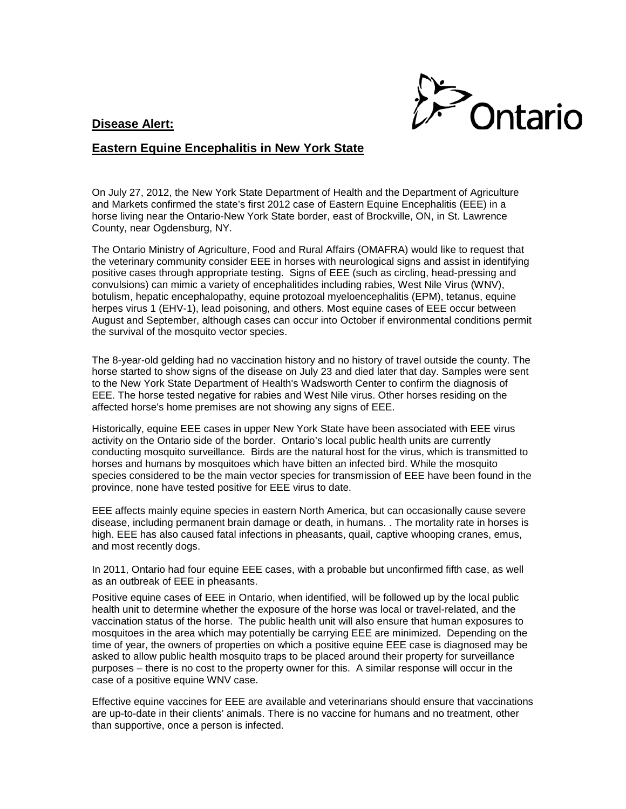## **Disease Alert:**



## **Eastern Equine Encephalitis in New York State**

On July 27, 2012, the New York State Department of Health and the Department of Agriculture and Markets confirmed the state's first 2012 case of Eastern Equine Encephalitis (EEE) in a horse living near the Ontario-New York State border, east of Brockville, ON, in St. Lawrence County, near Ogdensburg, NY.

The Ontario Ministry of Agriculture, Food and Rural Affairs (OMAFRA) would like to request that the veterinary community consider EEE in horses with neurological signs and assist in identifying positive cases through appropriate testing. Signs of EEE (such as circling, head-pressing and convulsions) can mimic a variety of encephalitides including rabies, West Nile Virus (WNV), botulism, hepatic encephalopathy, equine protozoal myeloencephalitis (EPM), tetanus, equine herpes virus 1 (EHV-1), lead poisoning, and others. Most equine cases of EEE occur between August and September, although cases can occur into October if environmental conditions permit the survival of the mosquito vector species.

The 8-year-old gelding had no vaccination history and no history of travel outside the county. The horse started to show signs of the disease on July 23 and died later that day. Samples were sent to the New York State Department of Health's Wadsworth Center to confirm the diagnosis of EEE. The horse tested negative for rabies and West Nile virus. Other horses residing on the affected horse's home premises are not showing any signs of EEE.

Historically, equine EEE cases in upper New York State have been associated with EEE virus activity on the Ontario side of the border. Ontario's local public health units are currently conducting mosquito surveillance. Birds are the natural host for the virus, which is transmitted to horses and humans by mosquitoes which have bitten an infected bird. While the mosquito species considered to be the main vector species for transmission of EEE have been found in the province, none have tested positive for EEE virus to date.

EEE affects mainly equine species in eastern North America, but can occasionally cause severe disease, including permanent brain damage or death, in humans. . The mortality rate in horses is high. EEE has also caused fatal infections in pheasants, quail, captive whooping cranes, emus, and most recently dogs.

In 2011, Ontario had four equine EEE cases, with a probable but unconfirmed fifth case, as well as an outbreak of EEE in pheasants.

Positive equine cases of EEE in Ontario, when identified, will be followed up by the local public health unit to determine whether the exposure of the horse was local or travel-related, and the vaccination status of the horse. The public health unit will also ensure that human exposures to mosquitoes in the area which may potentially be carrying EEE are minimized. Depending on the time of year, the owners of properties on which a positive equine EEE case is diagnosed may be asked to allow public health mosquito traps to be placed around their property for surveillance purposes – there is no cost to the property owner for this. A similar response will occur in the case of a positive equine WNV case.

Effective equine vaccines for EEE are available and veterinarians should ensure that vaccinations are up-to-date in their clients' animals. There is no vaccine for humans and no treatment, other than supportive, once a person is infected.